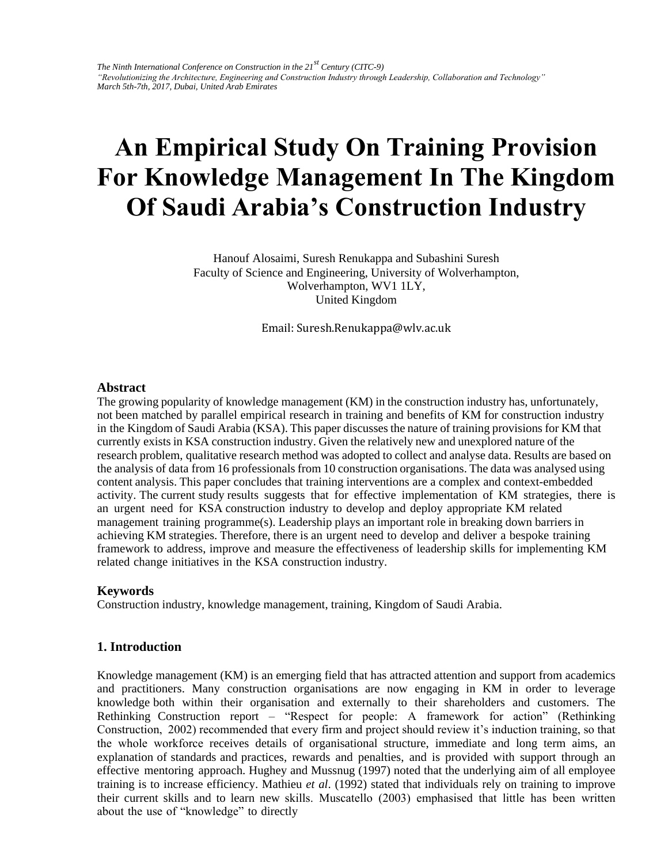# **An Empirical Study On Training Provision For Knowledge Management In The Kingdom Of Saudi Arabia's Construction Industry**

Hanouf Alosaimi, Suresh Renukappa and Subashini Suresh Faculty of Science and Engineering, University of Wolverhampton, Wolverhampton, WV1 1LY, United Kingdom

Email: Suresh.Renukappa@wlv.ac.uk

### **Abstract**

The growing popularity of knowledge management (KM) in the construction industry has, unfortunately, not been matched by parallel empirical research in training and benefits of KM for construction industry in the Kingdom of Saudi Arabia (KSA). This paper discusses the nature of training provisions for KM that currently exists in KSA construction industry. Given the relatively new and unexplored nature of the research problem, qualitative research method was adopted to collect and analyse data. Results are based on the analysis of data from 16 professionals from 10 construction organisations. The data was analysed using content analysis. This paper concludes that training interventions are a complex and context-embedded activity. The current study results suggests that for effective implementation of KM strategies, there is an urgent need for KSA construction industry to develop and deploy appropriate KM related management training programme(s). Leadership plays an important role in breaking down barriers in achieving KM strategies. Therefore, there is an urgent need to develop and deliver a bespoke training framework to address, improve and measure the effectiveness of leadership skills for implementing KM related change initiatives in the KSA construction industry.

## **Keywords**

Construction industry, knowledge management, training, Kingdom of Saudi Arabia.

## **1. Introduction**

Knowledge management (KM) is an emerging field that has attracted attention and support from academics and practitioners. Many construction organisations are now engaging in KM in order to leverage knowledge both within their organisation and externally to their shareholders and customers. The Rethinking Construction report – "Respect for people: A framework for action" (Rethinking Construction, 2002) recommended that every firm and project should review it's induction training, so that the whole workforce receives details of organisational structure, immediate and long term aims, an explanation of standards and practices, rewards and penalties, and is provided with support through an effective mentoring approach. Hughey and Mussnug (1997) noted that the underlying aim of all employee training is to increase efficiency. Mathieu *et al*. (1992) stated that individuals rely on training to improve their current skills and to learn new skills. Muscatello (2003) emphasised that little has been written about the use of "knowledge" to directly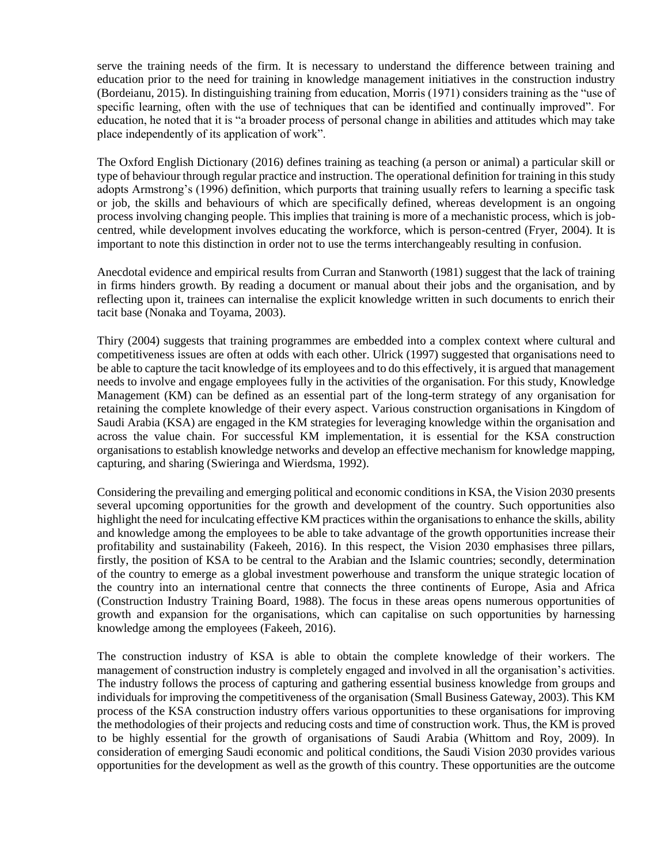serve the training needs of the firm. It is necessary to understand the difference between training and education prior to the need for training in knowledge management initiatives in the construction industry (Bordeianu, 2015). In distinguishing training from education, Morris (1971) considers training as the "use of specific learning, often with the use of techniques that can be identified and continually improved". For education, he noted that it is "a broader process of personal change in abilities and attitudes which may take place independently of its application of work".

The Oxford English Dictionary (2016) defines training as teaching (a person or animal) a particular skill or type of behaviour through regular practice and instruction. The operational definition for training in this study adopts Armstrong's (1996) definition, which purports that training usually refers to learning a specific task or job, the skills and behaviours of which are specifically defined, whereas development is an ongoing process involving changing people. This implies that training is more of a mechanistic process, which is jobcentred, while development involves educating the workforce, which is person-centred (Fryer, 2004). It is important to note this distinction in order not to use the terms interchangeably resulting in confusion.

Anecdotal evidence and empirical results from Curran and Stanworth (1981) suggest that the lack of training in firms hinders growth. By reading a document or manual about their jobs and the organisation, and by reflecting upon it, trainees can internalise the explicit knowledge written in such documents to enrich their tacit base (Nonaka and Toyama, 2003).

Thiry (2004) suggests that training programmes are embedded into a complex context where cultural and competitiveness issues are often at odds with each other. Ulrick (1997) suggested that organisations need to be able to capture the tacit knowledge of its employees and to do this effectively, it is argued that management needs to involve and engage employees fully in the activities of the organisation. For this study, Knowledge Management (KM) can be defined as an essential part of the long-term strategy of any organisation for retaining the complete knowledge of their every aspect. Various construction organisations in Kingdom of Saudi Arabia (KSA) are engaged in the KM strategies for leveraging knowledge within the organisation and across the value chain. For successful KM implementation, it is essential for the KSA construction organisations to establish knowledge networks and develop an effective mechanism for knowledge mapping, capturing, and sharing (Swieringa and Wierdsma, 1992).

Considering the prevailing and emerging political and economic conditions in KSA, the Vision 2030 presents several upcoming opportunities for the growth and development of the country. Such opportunities also highlight the need for inculcating effective KM practices within the organisations to enhance the skills, ability and knowledge among the employees to be able to take advantage of the growth opportunities increase their profitability and sustainability (Fakeeh, 2016). In this respect, the Vision 2030 emphasises three pillars, firstly, the position of KSA to be central to the Arabian and the Islamic countries; secondly, determination of the country to emerge as a global investment powerhouse and transform the unique strategic location of the country into an international centre that connects the three continents of Europe, Asia and Africa (Construction Industry Training Board, 1988). The focus in these areas opens numerous opportunities of growth and expansion for the organisations, which can capitalise on such opportunities by harnessing knowledge among the employees (Fakeeh, 2016).

The construction industry of KSA is able to obtain the complete knowledge of their workers. The management of construction industry is completely engaged and involved in all the organisation's activities. The industry follows the process of capturing and gathering essential business knowledge from groups and individuals for improving the competitiveness of the organisation (Small Business Gateway, 2003). This KM process of the KSA construction industry offers various opportunities to these organisations for improving the methodologies of their projects and reducing costs and time of construction work. Thus, the KM is proved to be highly essential for the growth of organisations of Saudi Arabia (Whittom and Roy, 2009). In consideration of emerging Saudi economic and political conditions, the Saudi Vision 2030 provides various opportunities for the development as well as the growth of this country. These opportunities are the outcome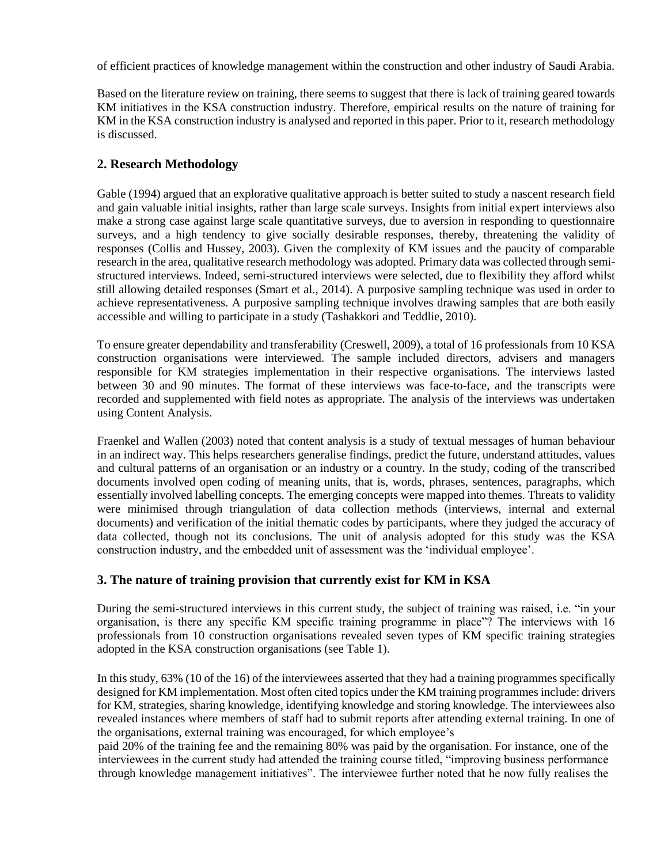of efficient practices of knowledge management within the construction and other industry of Saudi Arabia.

Based on the literature review on training, there seems to suggest that there is lack of training geared towards KM initiatives in the KSA construction industry. Therefore, empirical results on the nature of training for KM in the KSA construction industry is analysed and reported in this paper. Prior to it, research methodology is discussed.

## **2. Research Methodology**

Gable (1994) argued that an explorative qualitative approach is better suited to study a nascent research field and gain valuable initial insights, rather than large scale surveys. Insights from initial expert interviews also make a strong case against large scale quantitative surveys, due to aversion in responding to questionnaire surveys, and a high tendency to give socially desirable responses, thereby, threatening the validity of responses (Collis and Hussey, 2003). Given the complexity of KM issues and the paucity of comparable research in the area, qualitative research methodology was adopted. Primary data was collected through semistructured interviews. Indeed, semi-structured interviews were selected, due to flexibility they afford whilst still allowing detailed responses (Smart et al., 2014). A purposive sampling technique was used in order to achieve representativeness. A purposive sampling technique involves drawing samples that are both easily accessible and willing to participate in a study (Tashakkori and Teddlie, 2010).

To ensure greater dependability and transferability (Creswell, 2009), a total of 16 professionals from 10 KSA construction organisations were interviewed. The sample included directors, advisers and managers responsible for KM strategies implementation in their respective organisations. The interviews lasted between 30 and 90 minutes. The format of these interviews was face-to-face, and the transcripts were recorded and supplemented with field notes as appropriate. The analysis of the interviews was undertaken using Content Analysis.

Fraenkel and Wallen (2003) noted that content analysis is a study of textual messages of human behaviour in an indirect way. This helps researchers generalise findings, predict the future, understand attitudes, values and cultural patterns of an organisation or an industry or a country. In the study, coding of the transcribed documents involved open coding of meaning units, that is, words, phrases, sentences, paragraphs, which essentially involved labelling concepts. The emerging concepts were mapped into themes. Threats to validity were minimised through triangulation of data collection methods (interviews, internal and external documents) and verification of the initial thematic codes by participants, where they judged the accuracy of data collected, though not its conclusions. The unit of analysis adopted for this study was the KSA construction industry, and the embedded unit of assessment was the 'individual employee'.

# **3. The nature of training provision that currently exist for KM in KSA**

During the semi-structured interviews in this current study, the subject of training was raised, i.e. "in your organisation, is there any specific KM specific training programme in place"? The interviews with 16 professionals from 10 construction organisations revealed seven types of KM specific training strategies adopted in the KSA construction organisations (see Table 1).

In this study, 63% (10 of the 16) of the interviewees asserted that they had a training programmes specifically designed for KM implementation. Most often cited topics under the KM training programmes include: drivers for KM, strategies, sharing knowledge, identifying knowledge and storing knowledge. The interviewees also revealed instances where members of staff had to submit reports after attending external training. In one of the organisations, external training was encouraged, for which employee's

paid 20% of the training fee and the remaining 80% was paid by the organisation. For instance, one of the interviewees in the current study had attended the training course titled, "improving business performance through knowledge management initiatives". The interviewee further noted that he now fully realises the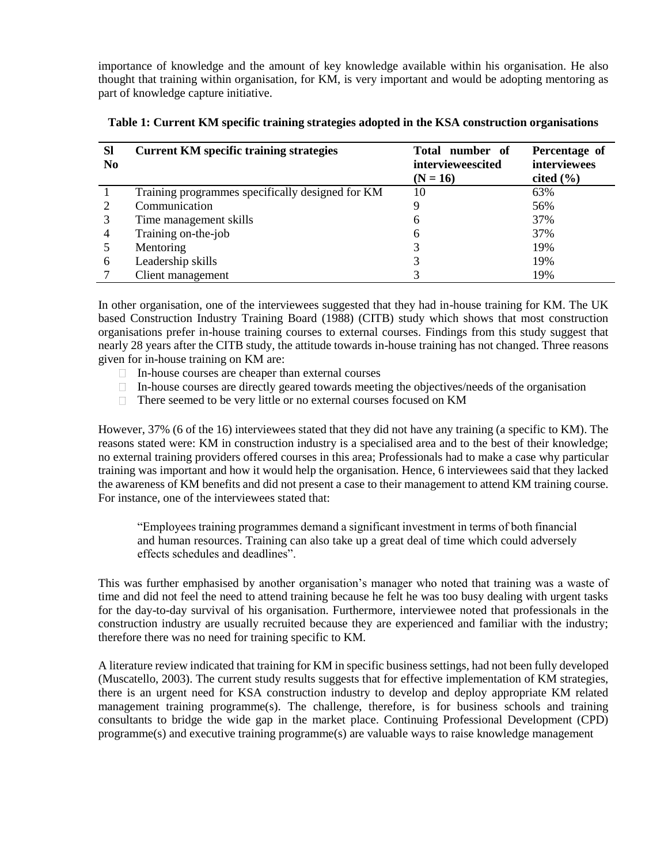importance of knowledge and the amount of key knowledge available within his organisation. He also thought that training within organisation, for KM, is very important and would be adopting mentoring as part of knowledge capture initiative.

| <b>SI</b><br>N <sub>0</sub> | <b>Current KM specific training strategies</b>   | Total number of<br>intervieweescited<br>$(N = 16)$ | Percentage of<br>interviewees<br>cited $(\% )$ |
|-----------------------------|--------------------------------------------------|----------------------------------------------------|------------------------------------------------|
|                             | Training programmes specifically designed for KM | 10                                                 | 63%                                            |
|                             | Communication                                    | g                                                  | 56%                                            |
|                             | Time management skills                           | 6                                                  | 37%                                            |
| 4                           | Training on-the-job                              | 6                                                  | 37%                                            |
|                             | Mentoring                                        | 3                                                  | 19%                                            |
| 6                           | Leadership skills                                |                                                    | 19%                                            |
|                             | Client management                                |                                                    | 19%                                            |

In other organisation, one of the interviewees suggested that they had in-house training for KM. The UK based Construction Industry Training Board (1988) (CITB) study which shows that most construction organisations prefer in-house training courses to external courses. Findings from this study suggest that nearly 28 years after the CITB study, the attitude towards in-house training has not changed. Three reasons given for in-house training on KM are:

- $\Box$  In-house courses are cheaper than external courses
- $\Box$  In-house courses are directly geared towards meeting the objectives/needs of the organisation
- $\Box$  There seemed to be very little or no external courses focused on KM

However, 37% (6 of the 16) interviewees stated that they did not have any training (a specific to KM). The reasons stated were: KM in construction industry is a specialised area and to the best of their knowledge; no external training providers offered courses in this area; Professionals had to make a case why particular training was important and how it would help the organisation. Hence, 6 interviewees said that they lacked the awareness of KM benefits and did not present a case to their management to attend KM training course. For instance, one of the interviewees stated that:

"Employees training programmes demand a significant investment in terms of both financial and human resources. Training can also take up a great deal of time which could adversely effects schedules and deadlines".

This was further emphasised by another organisation's manager who noted that training was a waste of time and did not feel the need to attend training because he felt he was too busy dealing with urgent tasks for the day-to-day survival of his organisation. Furthermore, interviewee noted that professionals in the construction industry are usually recruited because they are experienced and familiar with the industry; therefore there was no need for training specific to KM.

A literature review indicated that training for KM in specific business settings, had not been fully developed (Muscatello, 2003). The current study results suggests that for effective implementation of KM strategies, there is an urgent need for KSA construction industry to develop and deploy appropriate KM related management training programme(s). The challenge, therefore, is for business schools and training consultants to bridge the wide gap in the market place. Continuing Professional Development (CPD) programme(s) and executive training programme(s) are valuable ways to raise knowledge management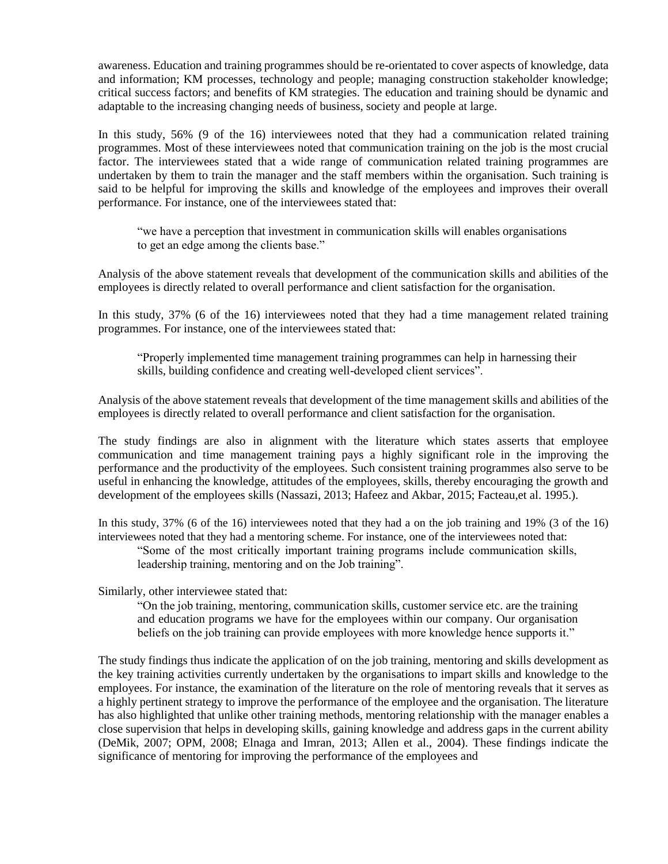awareness. Education and training programmes should be re-orientated to cover aspects of knowledge, data and information; KM processes, technology and people; managing construction stakeholder knowledge; critical success factors; and benefits of KM strategies. The education and training should be dynamic and adaptable to the increasing changing needs of business, society and people at large.

In this study, 56% (9 of the 16) interviewees noted that they had a communication related training programmes. Most of these interviewees noted that communication training on the job is the most crucial factor. The interviewees stated that a wide range of communication related training programmes are undertaken by them to train the manager and the staff members within the organisation. Such training is said to be helpful for improving the skills and knowledge of the employees and improves their overall performance. For instance, one of the interviewees stated that:

"we have a perception that investment in communication skills will enables organisations to get an edge among the clients base."

Analysis of the above statement reveals that development of the communication skills and abilities of the employees is directly related to overall performance and client satisfaction for the organisation.

In this study, 37% (6 of the 16) interviewees noted that they had a time management related training programmes. For instance, one of the interviewees stated that:

"Properly implemented time management training programmes can help in harnessing their skills, building confidence and creating well-developed client services".

Analysis of the above statement reveals that development of the time management skills and abilities of the employees is directly related to overall performance and client satisfaction for the organisation.

The study findings are also in alignment with the literature which states asserts that employee communication and time management training pays a highly significant role in the improving the performance and the productivity of the employees. Such consistent training programmes also serve to be useful in enhancing the knowledge, attitudes of the employees, skills, thereby encouraging the growth and development of the employees skills (Nassazi, 2013; Hafeez and Akbar, 2015; Facteau,et al. 1995.).

In this study, 37% (6 of the 16) interviewees noted that they had a on the job training and 19% (3 of the 16) interviewees noted that they had a mentoring scheme. For instance, one of the interviewees noted that:

"Some of the most critically important training programs include communication skills, leadership training, mentoring and on the Job training".

Similarly, other interviewee stated that:

"On the job training, mentoring, communication skills, customer service etc. are the training and education programs we have for the employees within our company. Our organisation beliefs on the job training can provide employees with more knowledge hence supports it."

The study findings thus indicate the application of on the job training, mentoring and skills development as the key training activities currently undertaken by the organisations to impart skills and knowledge to the employees. For instance, the examination of the literature on the role of mentoring reveals that it serves as a highly pertinent strategy to improve the performance of the employee and the organisation. The literature has also highlighted that unlike other training methods, mentoring relationship with the manager enables a close supervision that helps in developing skills, gaining knowledge and address gaps in the current ability (DeMik, 2007; OPM, 2008; Elnaga and Imran, 2013; Allen et al., 2004). These findings indicate the significance of mentoring for improving the performance of the employees and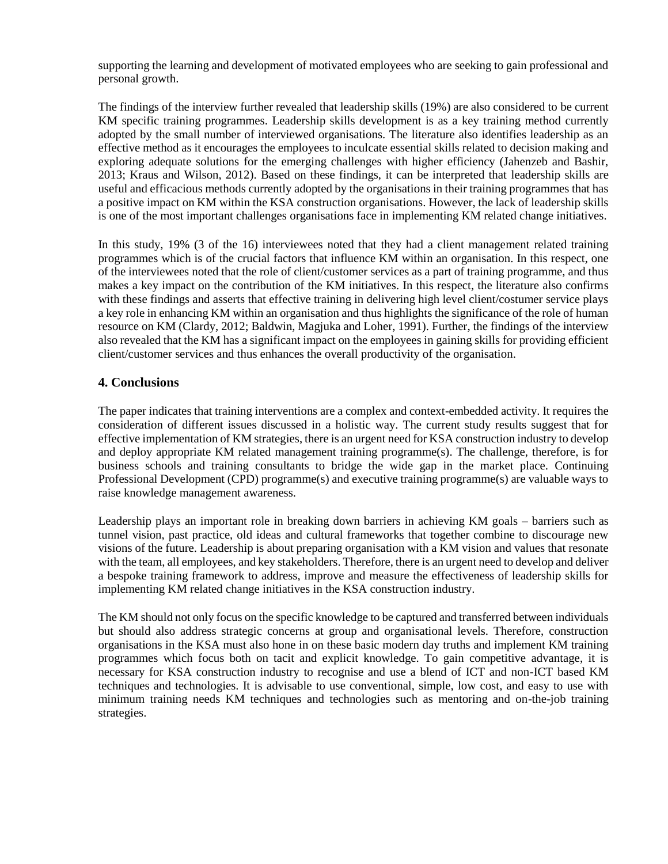supporting the learning and development of motivated employees who are seeking to gain professional and personal growth.

The findings of the interview further revealed that leadership skills (19%) are also considered to be current KM specific training programmes. Leadership skills development is as a key training method currently adopted by the small number of interviewed organisations. The literature also identifies leadership as an effective method as it encourages the employees to inculcate essential skills related to decision making and exploring adequate solutions for the emerging challenges with higher efficiency (Jahenzeb and Bashir, 2013; Kraus and Wilson, 2012). Based on these findings, it can be interpreted that leadership skills are useful and efficacious methods currently adopted by the organisations in their training programmes that has a positive impact on KM within the KSA construction organisations. However, the lack of leadership skills is one of the most important challenges organisations face in implementing KM related change initiatives.

In this study, 19% (3 of the 16) interviewees noted that they had a client management related training programmes which is of the crucial factors that influence KM within an organisation. In this respect, one of the interviewees noted that the role of client/customer services as a part of training programme, and thus makes a key impact on the contribution of the KM initiatives. In this respect, the literature also confirms with these findings and asserts that effective training in delivering high level client/costumer service plays a key role in enhancing KM within an organisation and thus highlights the significance of the role of human resource on KM (Clardy, 2012; Baldwin, Magjuka and Loher, 1991). Further, the findings of the interview also revealed that the KM has a significant impact on the employees in gaining skills for providing efficient client/customer services and thus enhances the overall productivity of the organisation.

# **4. Conclusions**

The paper indicates that training interventions are a complex and context-embedded activity. It requires the consideration of different issues discussed in a holistic way. The current study results suggest that for effective implementation of KM strategies, there is an urgent need for KSA construction industry to develop and deploy appropriate KM related management training programme(s). The challenge, therefore, is for business schools and training consultants to bridge the wide gap in the market place. Continuing Professional Development (CPD) programme(s) and executive training programme(s) are valuable ways to raise knowledge management awareness.

Leadership plays an important role in breaking down barriers in achieving KM goals – barriers such as tunnel vision, past practice, old ideas and cultural frameworks that together combine to discourage new visions of the future. Leadership is about preparing organisation with a KM vision and values that resonate with the team, all employees, and key stakeholders. Therefore, there is an urgent need to develop and deliver a bespoke training framework to address, improve and measure the effectiveness of leadership skills for implementing KM related change initiatives in the KSA construction industry.

The KM should not only focus on the specific knowledge to be captured and transferred between individuals but should also address strategic concerns at group and organisational levels. Therefore, construction organisations in the KSA must also hone in on these basic modern day truths and implement KM training programmes which focus both on tacit and explicit knowledge. To gain competitive advantage, it is necessary for KSA construction industry to recognise and use a blend of ICT and non-ICT based KM techniques and technologies. It is advisable to use conventional, simple, low cost, and easy to use with minimum training needs KM techniques and technologies such as mentoring and on-the-job training strategies.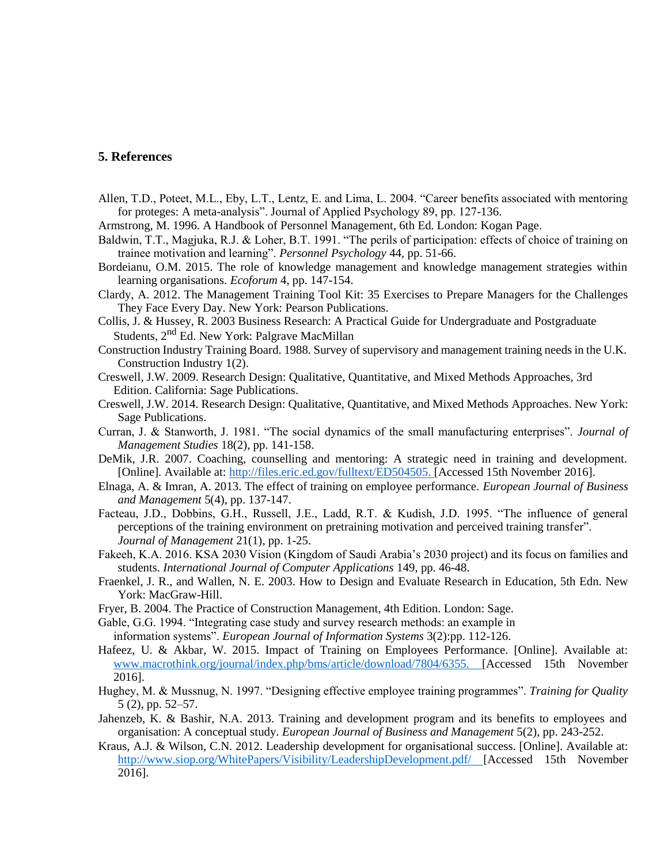### **5. References**

- Allen, T.D., Poteet, M.L., Eby, L.T., Lentz, E. and Lima, L. 2004. "Career benefits associated with mentoring for proteges: A meta-analysis". Journal of Applied Psychology 89, pp. 127-136.
- Armstrong, M. 1996. A Handbook of Personnel Management, 6th Ed. London: Kogan Page.
- Baldwin, T.T., Magjuka, R.J. & Loher, B.T. 1991. "The perils of participation: effects of choice of training on trainee motivation and learning". *Personnel Psychology* 44, pp. 51-66.
- Bordeianu, O.M. 2015. The role of knowledge management and knowledge management strategies within learning organisations. *Ecoforum* 4, pp. 147-154.
- Clardy, A. 2012. The Management Training Tool Kit: 35 Exercises to Prepare Managers for the Challenges They Face Every Day. New York: Pearson Publications.
- Collis, J. & Hussey, R. 2003 Business Research: A Practical Guide for Undergraduate and Postgraduate Students, 2<sup>nd</sup> Ed. New York: Palgrave MacMillan
- Construction Industry Training Board. 1988. Survey of supervisory and management training needs in the U.K. Construction Industry 1(2).
- Creswell, J.W. 2009. Research Design: Qualitative, Quantitative, and Mixed Methods Approaches, 3rd Edition. California: Sage Publications.
- Creswell, J.W. 2014. Research Design: Qualitative, Quantitative, and Mixed Methods Approaches. New York: Sage Publications.
- Curran, J. & Stanworth, J. 1981. "The social dynamics of the small manufacturing enterprises". *Journal of Management Studies* 18(2), pp. 141-158.
- DeMik, J.R. 2007. Coaching, counselling and mentoring: A strategic need in training and development. [Online]. Available at: [http://files.eric.ed.gov/fulltext/ED504505. \[](http://files.eric.ed.gov/fulltext/ED504505)Accessed 15th November 2016].
- Elnaga, A. & Imran, A. 2013. The effect of training on employee performance. *European Journal of Business and Management* 5(4), pp. 137-147.
- Facteau, J.D., Dobbins, G.H., Russell, J.E., Ladd, R.T. & Kudish, J.D. 1995. "The influence of general perceptions of the training environment on pretraining motivation and perceived training transfer". *Journal of Management* 21(1), pp. 1-25.
- Fakeeh, K.A. 2016. KSA 2030 Vision (Kingdom of Saudi Arabia's 2030 project) and its focus on families and students. *International Journal of Computer Applications* 149, pp. 46-48.
- Fraenkel, J. R., and Wallen, N. E. 2003. How to Design and Evaluate Research in Education, 5th Edn. New York: MacGraw-Hill.
- Fryer, B. 2004. The Practice of Construction Management, 4th Edition. London: Sage.
- Gable, G.G. 1994. "Integrating case study and survey research methods: an example in
- information systems". *European Journal of Information Systems* 3(2):pp. 112-126.
- Hafeez, U. & Akbar, W. 2015. Impact of Training on Employees Performance. [Online]. Available at: [www.macrothink.org/journal/index.php/bms/article/download/7804/6355. \[](http://www.macrothink.org/journal/index.php/bms/article/download/7804/6355)Accessed 15th November 2016].
- Hughey, M. & Mussnug, N. 1997. "Designing effective employee training programmes". *Training for Quality* 5 (2), pp. 52–57.
- Jahenzeb, K. & Bashir, N.A. 2013. Training and development program and its benefits to employees and organisation: A conceptual study. *European Journal of Business and Management* 5(2), pp. 243-252.
- Kraus, A.J. & Wilson, C.N. 2012. Leadership development for organisational success. [Online]. Available at: [http://www.siop.org/WhitePapers/Visibility/LeadershipDevelopment.pdf/ \[](http://www.siop.org/WhitePapers/Visibility/LeadershipDevelopment.pdf)Accessed 15th November 2016].